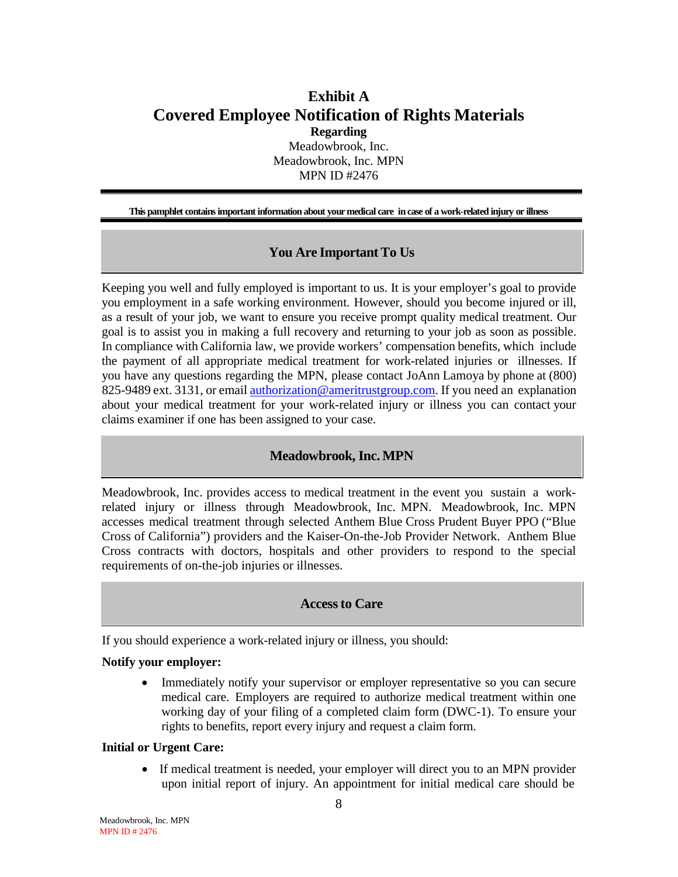# **Exhibit A Covered Employee Notification of Rights Materials**

**Regarding** Meadowbrook, Inc. Meadowbrook, Inc. MPN MPN ID #2476

**This pamphlet containsimportant informationabout yourmedical care incase of a work-related injury or illness**

# **You Are Important To Us**

Keeping you well and fully employed is important to us. It is your employer's goal to provide you employment in a safe working environment. However, should you become injured or ill, as a result of your job, we want to ensure you receive prompt quality medical treatment. Our goal is to assist you in making a full recovery and returning to your job as soon as possible. In compliance with California law, we provide workers' compensation benefits, which include the payment of all appropriate medical treatment for work-related injuries or illnesses. If you have any questions regarding the MPN, please contact JoAnn Lamoya by phone at (800) 825-9489 ext. 3131, or email [authorization@ameritrustgroup.com.](mailto:JoAnn.Lamoya@ameritrustgroup.com) If you need an explanation about your medical treatment for your work-related injury or illness you can contact your claims examiner if one has been assigned to your case.

#### **Meadowbrook, Inc. MPN**

Meadowbrook, Inc. provides access to medical treatment in the event you sustain a workrelated injury or illness through Meadowbrook, Inc. MPN. Meadowbrook, Inc. MPN accesses medical treatment through selected Anthem Blue Cross Prudent Buyer PPO ("Blue Cross of California") providers and the Kaiser-On-the-Job Provider Network. Anthem Blue Cross contracts with doctors, hospitals and other providers to respond to the special requirements of on-the-job injuries or illnesses.

#### **Accessto Care**

If you should experience a work-related injury or illness, you should:

#### **Notify your employer:**

• Immediately notify your supervisor or employer representative so you can secure medical care. Employers are required to authorize medical treatment within one working day of your filing of a completed claim form (DWC-1). To ensure your rights to benefits, report every injury and request a claim form.

#### **Initial or Urgent Care:**

• If medical treatment is needed, your employer will direct you to an MPN provider upon initial report of injury. An appointment for initial medical care should be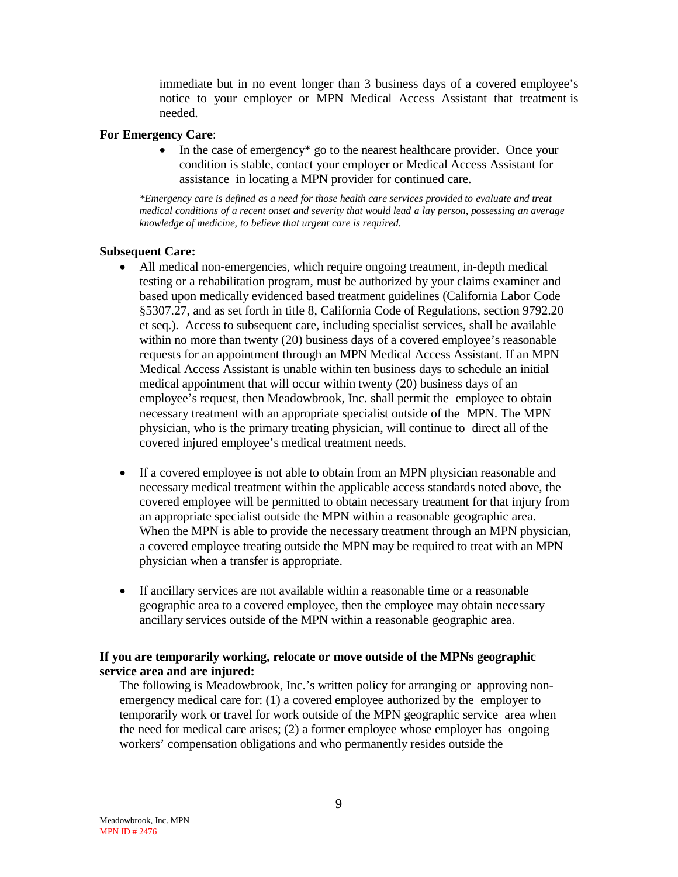immediate but in no event longer than 3 business days of a covered employee's notice to your employer or MPN Medical Access Assistant that treatment is needed.

#### **For Emergency Care**:

In the case of emergency<sup>\*</sup> go to the nearest healthcare provider. Once your condition is stable, contact your employer or Medical Access Assistant for assistance in locating a MPN provider for continued care.

*\*Emergency care is defined as a need for those health care services provided to evaluate and treat medical conditions of a recent onset and severity that would lead a lay person, possessing an average knowledge of medicine, to believe that urgent care is required.*

#### **Subsequent Care:**

- All medical non-emergencies, which require ongoing treatment, in-depth medical testing or a rehabilitation program, must be authorized by your claims examiner and based upon medically evidenced based treatment guidelines (California Labor Code §5307.27, and as set forth in title 8, California Code of Regulations, section 9792.20 et seq.). Access to subsequent care, including specialist services, shall be available within no more than twenty (20) business days of a covered employee's reasonable requests for an appointment through an MPN Medical Access Assistant. If an MPN Medical Access Assistant is unable within ten business days to schedule an initial medical appointment that will occur within twenty (20) business days of an employee's request, then Meadowbrook, Inc. shall permit the employee to obtain necessary treatment with an appropriate specialist outside of the MPN. The MPN physician, who is the primary treating physician, will continue to direct all of the covered injured employee's medical treatment needs.
- If a covered employee is not able to obtain from an MPN physician reasonable and necessary medical treatment within the applicable access standards noted above, the covered employee will be permitted to obtain necessary treatment for that injury from an appropriate specialist outside the MPN within a reasonable geographic area. When the MPN is able to provide the necessary treatment through an MPN physician, a covered employee treating outside the MPN may be required to treat with an MPN physician when a transfer is appropriate.
- If ancillary services are not available within a reasonable time or a reasonable geographic area to a covered employee, then the employee may obtain necessary ancillary services outside of the MPN within a reasonable geographic area.

#### **If you are temporarily working, relocate or move outside of the MPNs geographic service area and are injured:**

The following is Meadowbrook, Inc.'s written policy for arranging or approving nonemergency medical care for: (1) a covered employee authorized by the employer to temporarily work or travel for work outside of the MPN geographic service area when the need for medical care arises; (2) a former employee whose employer has ongoing workers' compensation obligations and who permanently resides outside the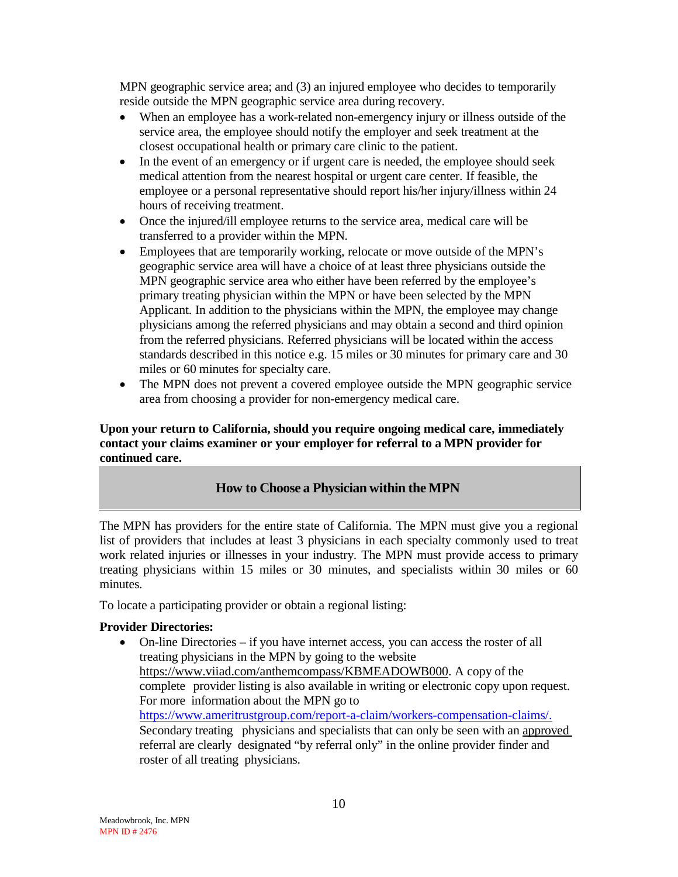MPN geographic service area; and (3) an injured employee who decides to temporarily reside outside the MPN geographic service area during recovery.

- When an employee has a work-related non-emergency injury or illness outside of the service area, the employee should notify the employer and seek treatment at the closest occupational health or primary care clinic to the patient.
- In the event of an emergency or if urgent care is needed, the employee should seek medical attention from the nearest hospital or urgent care center. If feasible, the employee or a personal representative should report his/her injury/illness within 24 hours of receiving treatment.
- Once the injured/ill employee returns to the service area, medical care will be transferred to a provider within the MPN.
- Employees that are temporarily working, relocate or move outside of the MPN's geographic service area will have a choice of at least three physicians outside the MPN geographic service area who either have been referred by the employee's primary treating physician within the MPN or have been selected by the MPN Applicant. In addition to the physicians within the MPN, the employee may change physicians among the referred physicians and may obtain a second and third opinion from the referred physicians. Referred physicians will be located within the access standards described in this notice e.g. 15 miles or 30 minutes for primary care and 30 miles or 60 minutes for specialty care.
- The MPN does not prevent a covered employee outside the MPN geographic service area from choosing a provider for non-emergency medical care.

**Upon your return to California, should you require ongoing medical care, immediately contact your claims examiner or your employer for referral to a MPN provider for continued care.**

# **How to Choose a Physician within the MPN**

The MPN has providers for the entire state of California. The MPN must give you a regional list of providers that includes at least 3 physicians in each specialty commonly used to treat work related injuries or illnesses in your industry. The MPN must provide access to primary treating physicians within 15 miles or 30 minutes, and specialists within 30 miles or 60 minutes.

To locate a participating provider or obtain a regional listing:

#### **Provider Directories:**

• On-line Directories – if you have internet access, you can access the roster of all treating physicians in the MPN by going to the website https://www.viiad.com/anthemcompass/KBMEADOWB000. A copy of the complete provider listing is also available in writing or electronic copy upon request. For more information about the MPN go to [https://www.ameritrustgroup.com/report-a-claim/workers-compensation-claims/.](https://www.ameritrustgroup.com/report-a-claim/workers-compensation-claims/) Secondary treating physicians and specialists that can only be seen with an approved referral are clearly designated "by referral only" in the online provider finder and roster of all treating physicians.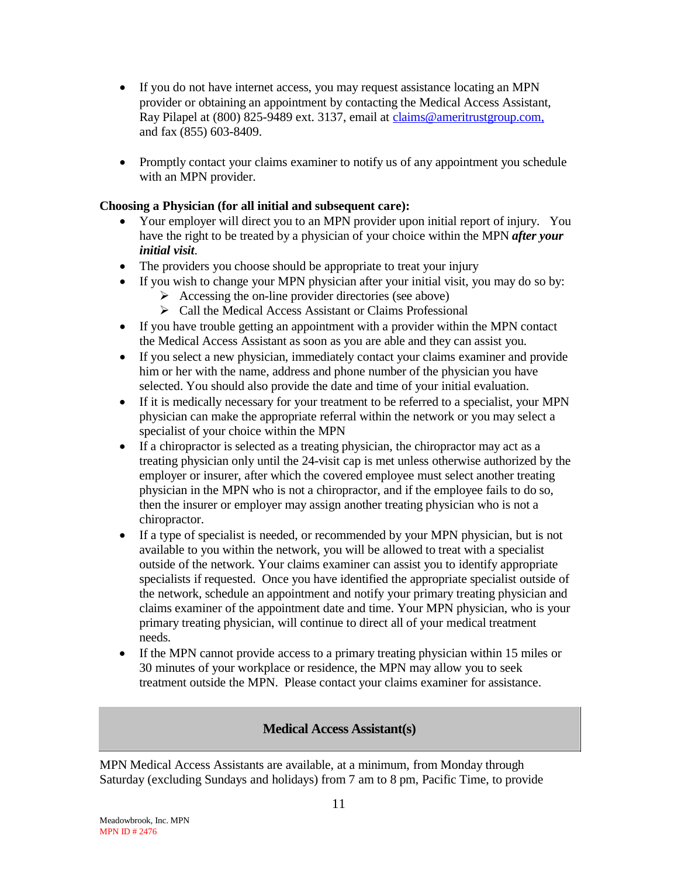- If you do not have internet access, you may request assistance locating an MPN provider or obtaining an appointment by contacting the Medical Access Assistant, Ray Pilapel at (800) 825-9489 ext. 3137, email at [claims@ameritrustgroup.com,](mailto:claims@ameritrustgroup.com,) and fax (855) 603-8409.
- Promptly contact your claims examiner to notify us of any appointment you schedule with an MPN provider.

### **Choosing a Physician (for all initial and subsequent care):**

- Your employer will direct you to an MPN provider upon initial report of injury. You have the right to be treated by a physician of your choice within the MPN *after your initial visit*.
- The providers you choose should be appropriate to treat your injury
- If you wish to change your MPN physician after your initial visit, you may do so by:
	- $\triangleright$  Accessing the on-line provider directories (see above)
	- Call the Medical Access Assistant or Claims Professional
- If you have trouble getting an appointment with a provider within the MPN contact the Medical Access Assistant as soon as you are able and they can assist you.
- If you select a new physician, immediately contact your claims examiner and provide him or her with the name, address and phone number of the physician you have selected. You should also provide the date and time of your initial evaluation.
- If it is medically necessary for your treatment to be referred to a specialist, your MPN physician can make the appropriate referral within the network or you may select a specialist of your choice within the MPN
- If a chiropractor is selected as a treating physician, the chiropractor may act as a treating physician only until the 24-visit cap is met unless otherwise authorized by the employer or insurer, after which the covered employee must select another treating physician in the MPN who is not a chiropractor, and if the employee fails to do so, then the insurer or employer may assign another treating physician who is not a chiropractor.
- If a type of specialist is needed, or recommended by your MPN physician, but is not available to you within the network, you will be allowed to treat with a specialist outside of the network. Your claims examiner can assist you to identify appropriate specialists if requested. Once you have identified the appropriate specialist outside of the network, schedule an appointment and notify your primary treating physician and claims examiner of the appointment date and time. Your MPN physician, who is your primary treating physician, will continue to direct all of your medical treatment needs.
- If the MPN cannot provide access to a primary treating physician within 15 miles or 30 minutes of your workplace or residence, the MPN may allow you to seek treatment outside the MPN. Please contact your claims examiner for assistance.

#### **Medical Access Assistant(s)**

MPN Medical Access Assistants are available, at a minimum, from Monday through Saturday (excluding Sundays and holidays) from 7 am to 8 pm, Pacific Time, to provide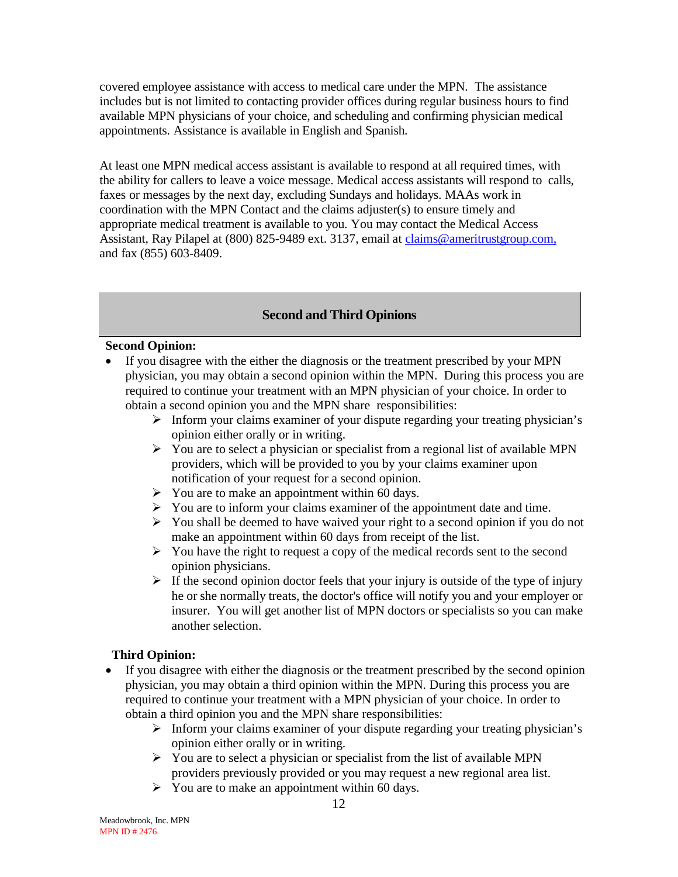covered employee assistance with access to medical care under the MPN. The assistance includes but is not limited to contacting provider offices during regular business hours to find available MPN physicians of your choice, and scheduling and confirming physician medical appointments. Assistance is available in English and Spanish.

At least one MPN medical access assistant is available to respond at all required times, with the ability for callers to leave a voice message. Medical access assistants will respond to calls, faxes or messages by the next day, excluding Sundays and holidays. MAAs work in coordination with the MPN Contact and the claims adjuster(s) to ensure timely and appropriate medical treatment is available to you. You may contact the Medical Access Assistant, Ray Pilapel at (800) 825-9489 ext. 3137, email at [claims@ameritrustgroup.com,](mailto:claims@ameritrustgroup.com,) and fax (855) 603-8409.

# **Second and Third Opinions**

#### **Second Opinion:**

- If you disagree with the either the diagnosis or the treatment prescribed by your MPN physician, you may obtain a second opinion within the MPN. During this process you are required to continue your treatment with an MPN physician of your choice. In order to obtain a second opinion you and the MPN share responsibilities:
	- $\triangleright$  Inform your claims examiner of your dispute regarding your treating physician's opinion either orally or in writing.
	- $\triangleright$  You are to select a physician or specialist from a regional list of available MPN providers, which will be provided to you by your claims examiner upon notification of your request for a second opinion.
	- $\triangleright$  You are to make an appointment within 60 days.
	- $\triangleright$  You are to inform your claims examiner of the appointment date and time.
	- $\triangleright$  You shall be deemed to have waived your right to a second opinion if you do not make an appointment within 60 days from receipt of the list.
	- $\triangleright$  You have the right to request a copy of the medical records sent to the second opinion physicians.
	- $\triangleright$  If the second opinion doctor feels that your injury is outside of the type of injury he or she normally treats, the doctor's office will notify you and your employer or insurer. You will get another list of MPN doctors or specialists so you can make another selection.

# **Third Opinion:**

- If you disagree with either the diagnosis or the treatment prescribed by the second opinion physician, you may obtain a third opinion within the MPN. During this process you are required to continue your treatment with a MPN physician of your choice. In order to obtain a third opinion you and the MPN share responsibilities:
	- $\triangleright$  Inform your claims examiner of your dispute regarding your treating physician's opinion either orally or in writing.
	- $\triangleright$  You are to select a physician or specialist from the list of available MPN providers previously provided or you may request a new regional area list.
	- $\triangleright$  You are to make an appointment within 60 days.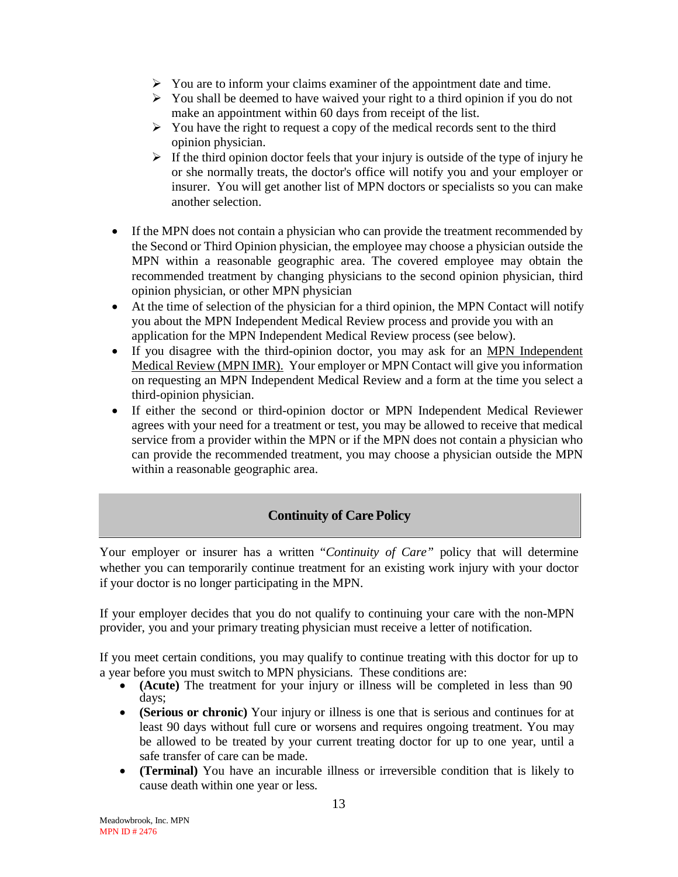- $\triangleright$  You are to inform your claims examiner of the appointment date and time.
- $\triangleright$  You shall be deemed to have waived your right to a third opinion if you do not make an appointment within 60 days from receipt of the list.
- $\triangleright$  You have the right to request a copy of the medical records sent to the third opinion physician.
- $\triangleright$  If the third opinion doctor feels that your injury is outside of the type of injury he or she normally treats, the doctor's office will notify you and your employer or insurer. You will get another list of MPN doctors or specialists so you can make another selection.
- If the MPN does not contain a physician who can provide the treatment recommended by the Second or Third Opinion physician, the employee may choose a physician outside the MPN within a reasonable geographic area. The covered employee may obtain the recommended treatment by changing physicians to the second opinion physician, third opinion physician, or other MPN physician
- At the time of selection of the physician for a third opinion, the MPN Contact will notify you about the MPN Independent Medical Review process and provide you with an application for the MPN Independent Medical Review process (see below).
- If you disagree with the third-opinion doctor, you may ask for an MPN Independent Medical Review (MPN IMR).Your employer or MPN Contact will give you information on requesting an MPN Independent Medical Review and a form at the time you select a third-opinion physician.
- If either the second or third-opinion doctor or MPN Independent Medical Reviewer agrees with your need for a treatment or test, you may be allowed to receive that medical service from a provider within the MPN or if the MPN does not contain a physician who can provide the recommended treatment, you may choose a physician outside the MPN within a reasonable geographic area.

# **Continuity of Care Policy**

Your employer or insurer has a written "*Continuity of Care"* policy that will determine whether you can temporarily continue treatment for an existing work injury with your doctor if your doctor is no longer participating in the MPN.

If your employer decides that you do not qualify to continuing your care with the non-MPN provider, you and your primary treating physician must receive a letter of notification.

If you meet certain conditions, you may qualify to continue treating with this doctor for up to <sup>a</sup> year before you must switch to MPN physicians. These conditions are: • **(Acute)** The treatment for your injury or illness will be completed in less than <sup>90</sup>

- days;
- **(Serious or chronic)** Your injury or illness is one that is serious and continues for at least 90 days without full cure or worsens and requires ongoing treatment. You may be allowed to be treated by your current treating doctor for up to one year, until a safe transfer of care can be made.
- **(Terminal)** You have an incurable illness or irreversible condition that is likely to cause death within one year or less.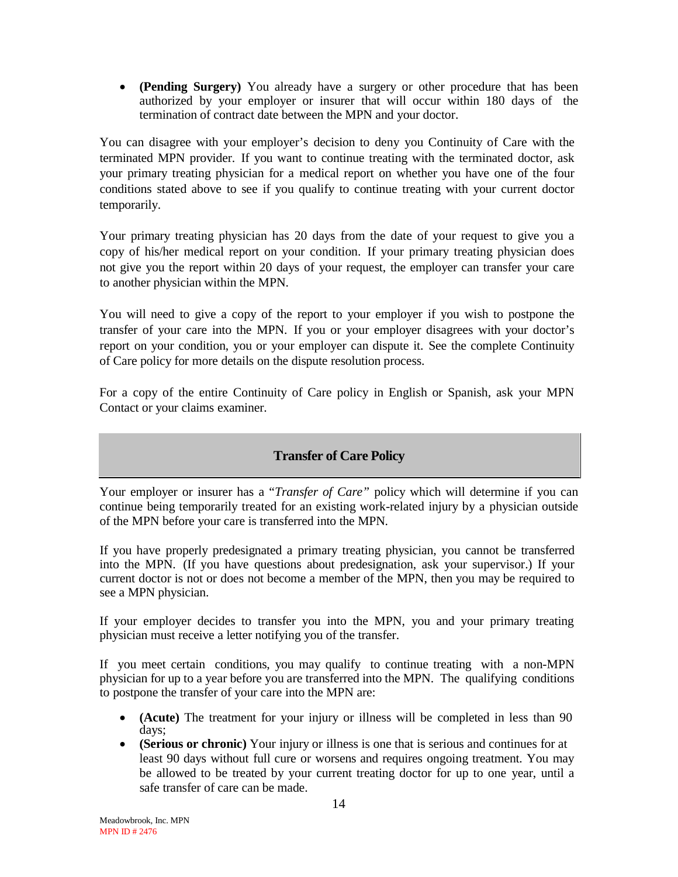• **(Pending Surgery)** You already have a surgery or other procedure that has been authorized by your employer or insurer that will occur within 180 days of the termination of contract date between the MPN and your doctor.

You can disagree with your employer's decision to deny you Continuity of Care with the terminated MPN provider. If you want to continue treating with the terminated doctor, ask your primary treating physician for a medical report on whether you have one of the four conditions stated above to see if you qualify to continue treating with your current doctor temporarily.

Your primary treating physician has 20 days from the date of your request to give you a copy of his/her medical report on your condition. If your primary treating physician does not give you the report within 20 days of your request, the employer can transfer your care to another physician within the MPN.

You will need to give a copy of the report to your employer if you wish to postpone the transfer of your care into the MPN. If you or your employer disagrees with your doctor's report on your condition, you or your employer can dispute it. See the complete Continuity of Care policy for more details on the dispute resolution process.

For a copy of the entire Continuity of Care policy in English or Spanish, ask your MPN Contact or your claims examiner.

# **Transfer of Care Policy**

Your employer or insurer has a "*Transfer of Care"* policy which will determine if you can continue being temporarily treated for an existing work-related injury by a physician outside of the MPN before your care is transferred into the MPN.

If you have properly predesignated a primary treating physician, you cannot be transferred into the MPN. (If you have questions about predesignation, ask your supervisor.) If your current doctor is not or does not become a member of the MPN, then you may be required to see a MPN physician.

If your employer decides to transfer you into the MPN, you and your primary treating physician must receive a letter notifying you of the transfer.

If you meet certain conditions, you may qualify to continue treating with a non-MPN physician for up to a year before you are transferred into the MPN. The qualifying conditions to postpone the transfer of your care into the MPN are:

- **(Acute)** The treatment for your injury or illness will be completed in less than 90 days;
- **(Serious or chronic)** Your injury or illness is one that is serious and continues for at least 90 days without full cure or worsens and requires ongoing treatment. You may be allowed to be treated by your current treating doctor for up to one year, until a safe transfer of care can be made.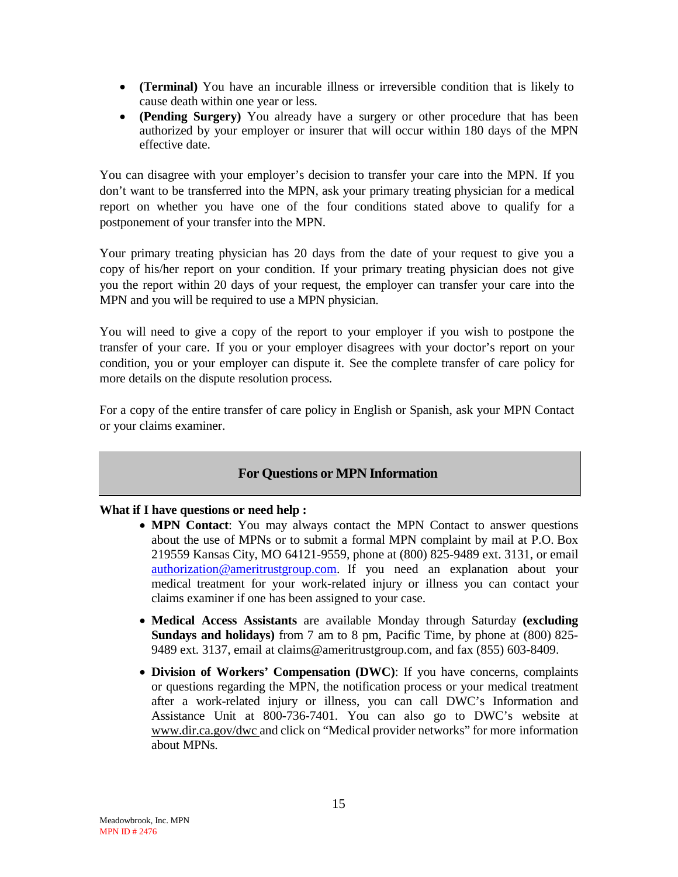- **(Terminal)** You have an incurable illness or irreversible condition that is likely to cause death within one year or less.
- **(Pending Surgery)** You already have a surgery or other procedure that has been authorized by your employer or insurer that will occur within 180 days of the MPN effective date.

You can disagree with your employer's decision to transfer your care into the MPN. If you don't want to be transferred into the MPN, ask your primary treating physician for a medical report on whether you have one of the four conditions stated above to qualify for a postponement of your transfer into the MPN.

Your primary treating physician has 20 days from the date of your request to give you a copy of his/her report on your condition. If your primary treating physician does not give you the report within 20 days of your request, the employer can transfer your care into the MPN and you will be required to use a MPN physician.

You will need to give a copy of the report to your employer if you wish to postpone the transfer of your care. If you or your employer disagrees with your doctor's report on your condition, you or your employer can dispute it. See the complete transfer of care policy for more details on the dispute resolution process.

For a copy of the entire transfer of care policy in English or Spanish, ask your MPN Contact or your claims examiner.

# **For Questions or MPN Information**

#### **What if I have questions or need help :**

- **MPN Contact**: You may always contact the MPN Contact to answer questions about the use of MPNs or to submit a formal MPN complaint by mail at P.O. Box 219559 Kansas City, MO 64121-9559, phone at (800) 825-9489 ext. 3131, or email [authorization@ameritrustgroup.com.](mailto:authorization@ameritrustgroup.com) If you need an explanation about your medical treatment for your work-related injury or illness you can contact your claims examiner if one has been assigned to your case.
- **Medical Access Assistants** are available Monday through Saturday **(excluding Sundays and holidays)** from 7 am to 8 pm, Pacific Time, by phone at (800) 825- 9489 ext. 3137, email at claims@ameritrustgroup.com, and fax (855) 603-8409.
- **Division of Workers' Compensation (DWC)**: If you have concerns, complaints or questions regarding the MPN, the notification process or your medical treatment after a work-related injury or illness, you can call DWC's Information and Assistance Unit at 800-736-7401. You can also go to DWC's website at [www.dir.ca.gov/dwc](http://www.dir.ca.gov/dwc) and click on "Medical provider networks" for more information about MPNs.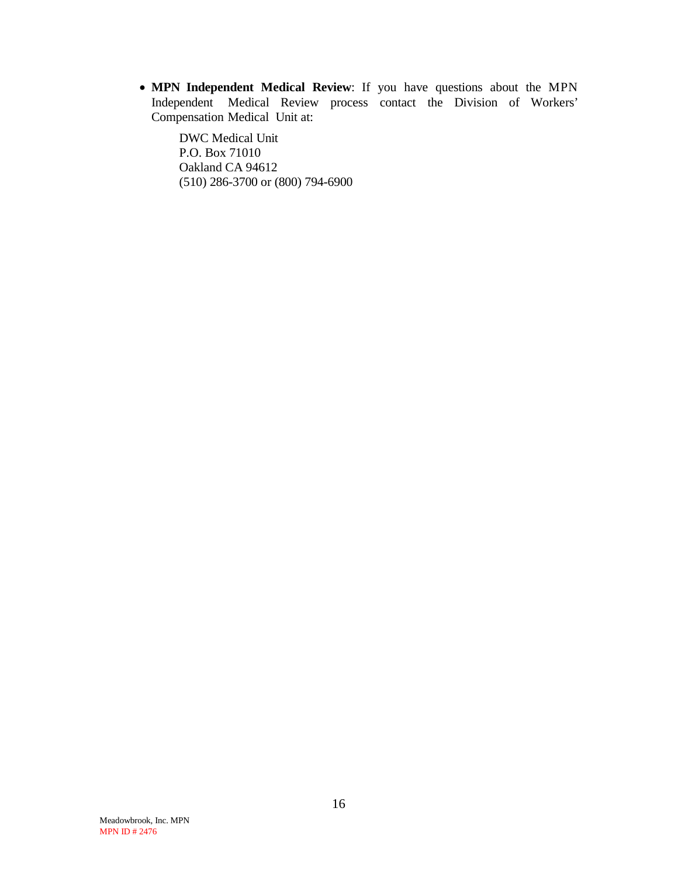• **MPN Independent Medical Review**: If you have questions about the MPN Independent Medical Review process contact the Division of Workers' Compensation Medical Unit at:

DWC Medical Unit P.O. Box 71010 Oakland CA 94612 (510) 286-3700 or (800) 794-6900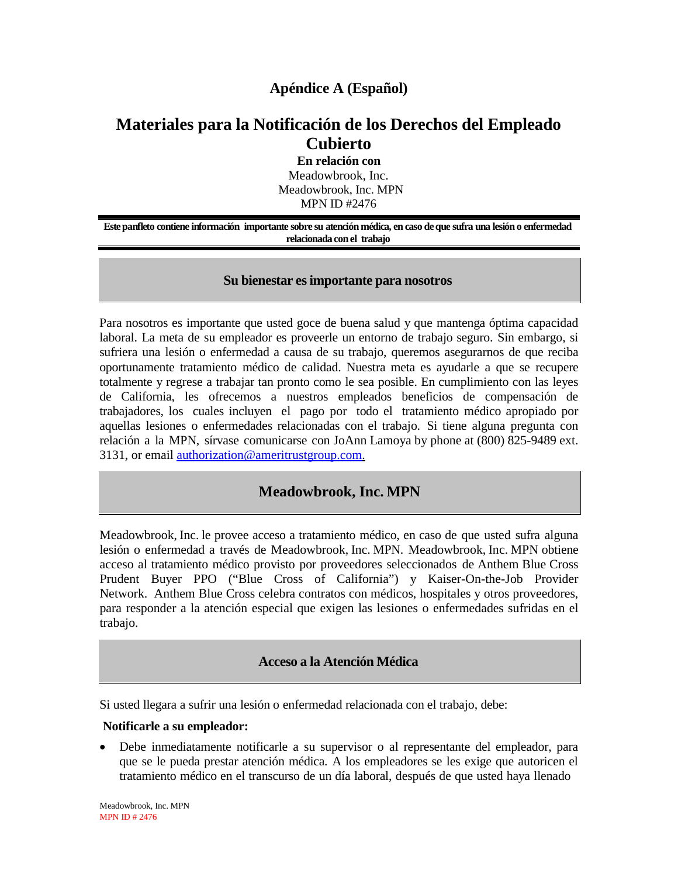# **Apéndice A (Español)**

# **Materiales para la Notificación de los Derechos del Empleado Cubierto**

**En relación con** Meadowbrook, Inc. Meadowbrook, Inc. MPN MPN ID #2476

**Estepanfleto contiene información importante sobre su atención médica, en caso deque sufra una lesióno enfermedad relacionadaconel trabajo**

#### **Su bienestar esimportante para nosotros**

Para nosotros es importante que usted goce de buena salud y que mantenga óptima capacidad laboral. La meta de su empleador es proveerle un entorno de trabajo seguro. Sin embargo, si sufriera una lesión o enfermedad a causa de su trabajo, queremos asegurarnos de que reciba oportunamente tratamiento médico de calidad. Nuestra meta es ayudarle a que se recupere totalmente y regrese a trabajar tan pronto como le sea posible. En cumplimiento con las leyes de California, les ofrecemos a nuestros empleados beneficios de compensación de trabajadores, los cuales incluyen el pago por todo el tratamiento médico apropiado por aquellas lesiones o enfermedades relacionadas con el trabajo. Si tiene alguna pregunta con relación a la MPN, sírvase comunicarse con JoAnn Lamoya by phone at (800) 825-9489 ext. 3131, or email [authorization@ameritrustgroup.com.](mailto:authorization@ameritrustgroup.com)

# **Meadowbrook, Inc. MPN**

Meadowbrook, Inc. le provee acceso a tratamiento médico, en caso de que usted sufra alguna lesión o enfermedad a través de Meadowbrook, Inc. MPN. Meadowbrook, Inc. MPN obtiene acceso al tratamiento médico provisto por proveedores seleccionados de Anthem Blue Cross Prudent Buyer PPO ("Blue Cross of California") y Kaiser-On-the-Job Provider Network. Anthem Blue Cross celebra contratos con médicos, hospitales y otros proveedores, para responder a la atención especial que exigen las lesiones o enfermedades sufridas en el trabajo.

#### **Acceso a la Atención Médica**

Si usted llegara a sufrir una lesión o enfermedad relacionada con el trabajo, debe:

#### **Notificarle a su empleador:**

• Debe inmediatamente notificarle a su supervisor o al representante del empleador, para que se le pueda prestar atención médica. A los empleadores se les exige que autoricen el tratamiento médico en el transcurso de un día laboral, después de que usted haya llenado

Meadowbrook, Inc. MPN MPN ID # 2476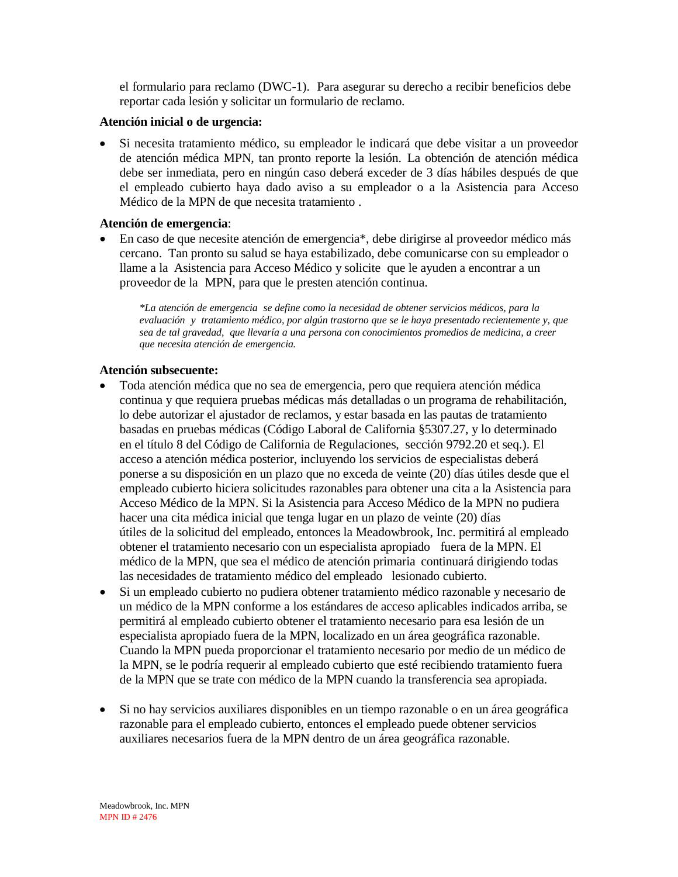el formulario para reclamo (DWC-1). Para asegurar su derecho a recibir beneficios debe reportar cada lesión y solicitar un formulario de reclamo.

#### **Atención inicial o de urgencia:**

• Si necesita tratamiento médico, su empleador le indicará que debe visitar a un proveedor de atención médica MPN, tan pronto reporte la lesión. La obtención de atención médica debe ser inmediata, pero en ningún caso deberá exceder de 3 días hábiles después de que el empleado cubierto haya dado aviso a su empleador o a la Asistencia para Acceso Médico de la MPN de que necesita tratamiento .

#### **Atención de emergencia**:

• En caso de que necesite atención de emergencia\*, debe dirigirse al proveedor médico más cercano. Tan pronto su salud se haya estabilizado, debe comunicarse con su empleador o llame a la Asistencia para Acceso Médico y solicite que le ayuden a encontrar a un proveedor de la MPN, para que le presten atención continua.

*\*La atención de emergencia se define como la necesidad de obtener servicios médicos, para la evaluación y tratamiento médico, por algún trastorno que se le haya presentado recientemente y, que sea de tal gravedad, que llevaría a una persona con conocimientos promedios de medicina, a creer que necesita atención de emergencia.*

#### **Atención subsecuente:**

- Toda atención médica que no sea de emergencia, pero que requiera atención médica continua y que requiera pruebas médicas más detalladas o un programa de rehabilitación, lo debe autorizar el ajustador de reclamos, y estar basada en las pautas de tratamiento basadas en pruebas médicas (Código Laboral de California §5307.27, y lo determinado en el título 8 del Código de California de Regulaciones, sección 9792.20 et seq.). El acceso a atención médica posterior, incluyendo los servicios de especialistas deberá ponerse a su disposición en un plazo que no exceda de veinte (20) días útiles desde que el empleado cubierto hiciera solicitudes razonables para obtener una cita a la Asistencia para Acceso Médico de la MPN. Si la Asistencia para Acceso Médico de la MPN no pudiera hacer una cita médica inicial que tenga lugar en un plazo de veinte (20) días útiles de la solicitud del empleado, entonces la Meadowbrook, Inc. permitirá al empleado obtener el tratamiento necesario con un especialista apropiado fuera de la MPN. El médico de la MPN, que sea el médico de atención primaria continuará dirigiendo todas las necesidades de tratamiento médico del empleado lesionado cubierto.
- Si un empleado cubierto no pudiera obtener tratamiento médico razonable y necesario de un médico de la MPN conforme a los estándares de acceso aplicables indicados arriba, se permitirá al empleado cubierto obtener el tratamiento necesario para esa lesión de un especialista apropiado fuera de la MPN, localizado en un área geográfica razonable. Cuando la MPN pueda proporcionar el tratamiento necesario por medio de un médico de la MPN, se le podría requerir al empleado cubierto que esté recibiendo tratamiento fuera de la MPN que se trate con médico de la MPN cuando la transferencia sea apropiada.
- Si no hay servicios auxiliares disponibles en un tiempo razonable o en un área geográfica razonable para el empleado cubierto, entonces el empleado puede obtener servicios auxiliares necesarios fuera de la MPN dentro de un área geográfica razonable.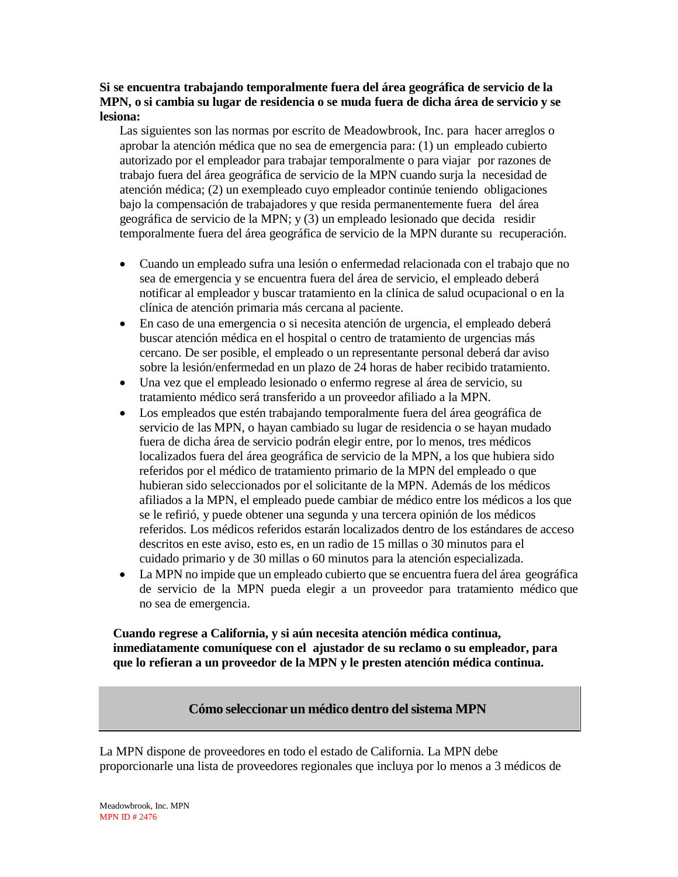#### **Si se encuentra trabajando temporalmente fuera del área geográfica de servicio de la MPN, o si cambia su lugar de residencia o se muda fuera de dicha área de servicio y se lesiona:**

Las siguientes son las normas por escrito de Meadowbrook, Inc. para hacer arreglos o aprobar la atención médica que no sea de emergencia para: (1) un empleado cubierto autorizado por el empleador para trabajar temporalmente o para viajar por razones de trabajo fuera del área geográfica de servicio de la MPN cuando surja la necesidad de atención médica; (2) un exempleado cuyo empleador continúe teniendo obligaciones bajo la compensación de trabajadores y que resida permanentemente fuera del área geográfica de servicio de la MPN; y (3) un empleado lesionado que decida residir temporalmente fuera del área geográfica de servicio de la MPN durante su recuperación.

- Cuando un empleado sufra una lesión o enfermedad relacionada con el trabajo que no sea de emergencia y se encuentra fuera del área de servicio, el empleado deberá notificar al empleador y buscar tratamiento en la clínica de salud ocupacional o en la clínica de atención primaria más cercana al paciente.
- En caso de una emergencia o si necesita atención de urgencia, el empleado deberá buscar atención médica en el hospital o centro de tratamiento de urgencias más cercano. De ser posible, el empleado o un representante personal deberá dar aviso sobre la lesión/enfermedad en un plazo de 24 horas de haber recibido tratamiento.
- Una vez que el empleado lesionado o enfermo regrese al área de servicio, su tratamiento médico será transferido a un proveedor afiliado a la MPN.
- Los empleados que estén trabajando temporalmente fuera del área geográfica de servicio de las MPN, o hayan cambiado su lugar de residencia o se hayan mudado fuera de dicha área de servicio podrán elegir entre, por lo menos, tres médicos localizados fuera del área geográfica de servicio de la MPN, a los que hubiera sido referidos por el médico de tratamiento primario de la MPN del empleado o que hubieran sido seleccionados por el solicitante de la MPN. Además de los médicos afiliados a la MPN, el empleado puede cambiar de médico entre los médicos a los que se le refirió, y puede obtener una segunda y una tercera opinión de los médicos referidos. Los médicos referidos estarán localizados dentro de los estándares de acceso descritos en este aviso, esto es, en un radio de 15 millas o 30 minutos para el cuidado primario y de 30 millas o 60 minutos para la atención especializada.
- La MPN no impide que un empleado cubierto que se encuentra fuera del área geográfica de servicio de la MPN pueda elegir a un proveedor para tratamiento médico que no sea de emergencia.

**Cuando regrese a California, y si aún necesita atención médica continua, inmediatamente comuníquese con el ajustador de su reclamo o su empleador, para que lo refieran a un proveedor de la MPN y le presten atención médica continua.**

### **Cómo seleccionar un médico dentro delsistema MPN**

La MPN dispone de proveedores en todo el estado de California. La MPN debe proporcionarle una lista de proveedores regionales que incluya por lo menos a 3 médicos de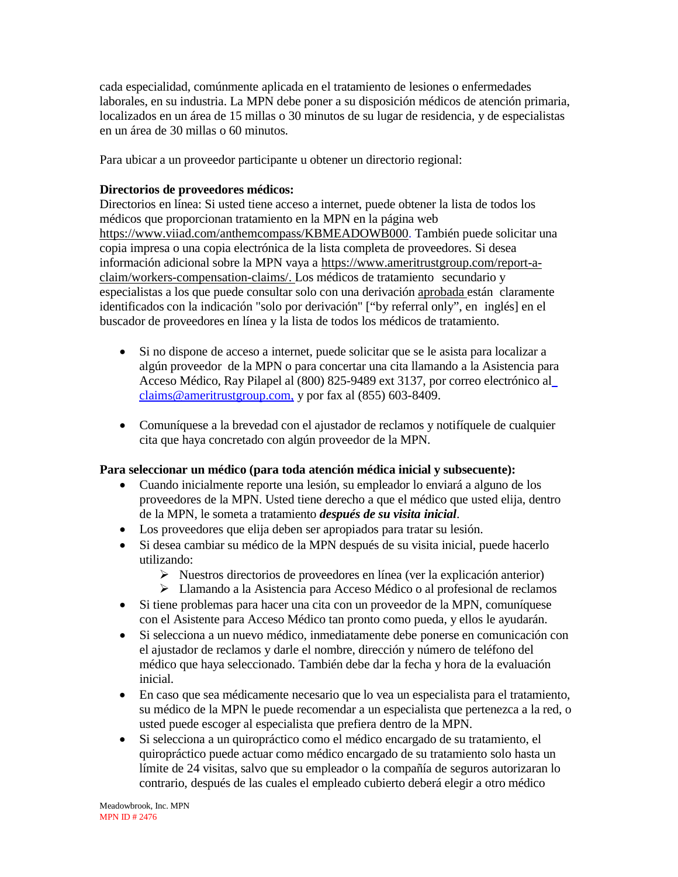cada especialidad, comúnmente aplicada en el tratamiento de lesiones o enfermedades laborales, en su industria. La MPN debe poner a su disposición médicos de atención primaria, localizados en un área de 15 millas o 30 minutos de su lugar de residencia, y de especialistas en un área de 30 millas o 60 minutos.

Para ubicar a un proveedor participante u obtener un directorio regional:

### **Directorios de proveedores médicos:**

Directorios en línea: Si usted tiene acceso a internet, puede obtener la lista de todos los médicos que proporcionan tratamiento en la MPN en la página web https://www.viiad.com/anthemcompass/KBMEADOWB000. También puede solicitar una copia impresa o una copia electrónica de la lista completa de proveedores. Si desea información adicional sobre la MPN vaya a [https://www.ameritrustgroup.com/report-a](https://www.ameritrustgroup.com/report-a-claim/workers-compensation-claims/)[claim/workers-compensation-claims/.](https://www.ameritrustgroup.com/report-a-claim/workers-compensation-claims/) Los médicos de tratamiento secundario y especialistas a los que puede consultar solo con una derivación aprobada están claramente identificados con la indicación "solo por derivación" ["by referral only", en inglés] en el buscador de proveedores en línea y la lista de todos los médicos de tratamiento.

- Si no dispone de acceso a internet, puede solicitar que se le asista para localizar a algún proveedor de la MPN o para concertar una cita llamando a la Asistencia para Acceso Médico, Ray Pilapel al (800) 825-9489 ext 3137, por correo electrónico a[l](mailto:%20claims@ameritrustgroup.com,) [claims@ameritrustgroup.com,](mailto:%20claims@ameritrustgroup.com,) y por fax al (855) 603-8409.
- Comuníquese a la brevedad con el ajustador de reclamos y notifíquele de cualquier cita que haya concretado con algún proveedor de la MPN.

#### **Para seleccionar un médico (para toda atención médica inicial y subsecuente):**

- Cuando inicialmente reporte una lesión, su empleador lo enviará a alguno de los proveedores de la MPN. Usted tiene derecho a que el médico que usted elija, dentro de la MPN, le someta a tratamiento *después de su visita inicial*.
- Los proveedores que elija deben ser apropiados para tratar su lesión.
- Si desea cambiar su médico de la MPN después de su visita inicial, puede hacerlo utilizando:
	- $\triangleright$  Nuestros directorios de proveedores en línea (ver la explicación anterior)
	- Llamando a la Asistencia para Acceso Médico o al profesional de reclamos
- Si tiene problemas para hacer una cita con un proveedor de la MPN, comuníquese con el Asistente para Acceso Médico tan pronto como pueda, y ellos le ayudarán.
- Si selecciona a un nuevo médico, inmediatamente debe ponerse en comunicación con el ajustador de reclamos y darle el nombre, dirección y número de teléfono del médico que haya seleccionado. También debe dar la fecha y hora de la evaluación inicial.
- En caso que sea médicamente necesario que lo vea un especialista para el tratamiento, su médico de la MPN le puede recomendar a un especialista que pertenezca a la red, o usted puede escoger al especialista que prefiera dentro de la MPN.
- Si selecciona a un quiropráctico como el médico encargado de su tratamiento, el quiropráctico puede actuar como médico encargado de su tratamiento solo hasta un límite de 24 visitas, salvo que su empleador o la compañía de seguros autorizaran lo contrario, después de las cuales el empleado cubierto deberá elegir a otro médico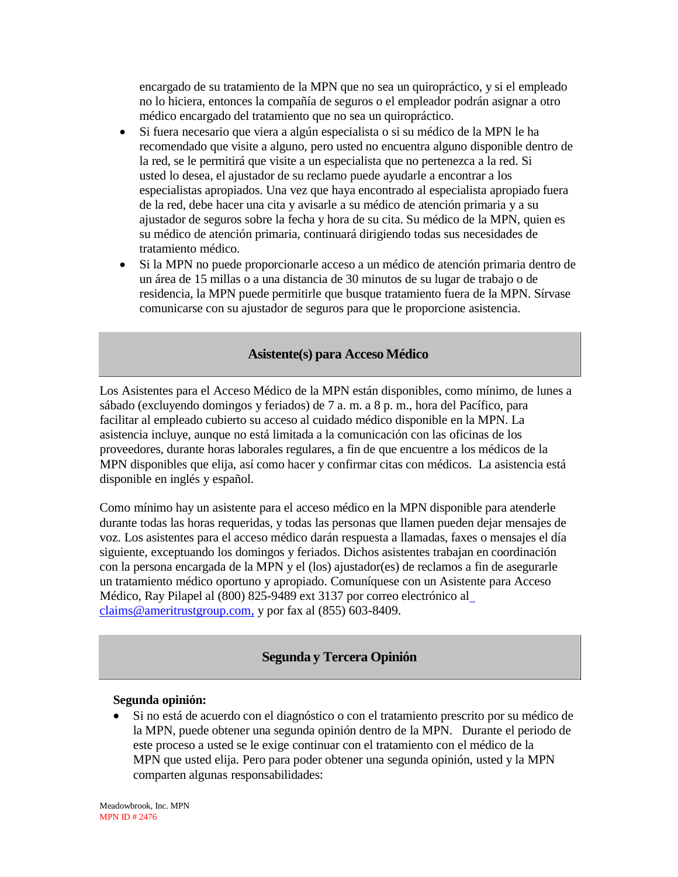encargado de su tratamiento de la MPN que no sea un quiropráctico, y si el empleado no lo hiciera, entonces la compañía de seguros o el empleador podrán asignar a otro médico encargado del tratamiento que no sea un quiropráctico.

- Si fuera necesario que viera a algún especialista o si su médico de la MPN le ha recomendado que visite a alguno, pero usted no encuentra alguno disponible dentro de la red, se le permitirá que visite a un especialista que no pertenezca a la red. Si usted lo desea, el ajustador de su reclamo puede ayudarle a encontrar a los especialistas apropiados. Una vez que haya encontrado al especialista apropiado fuera de la red, debe hacer una cita y avisarle a su médico de atención primaria y a su ajustador de seguros sobre la fecha y hora de su cita. Su médico de la MPN, quien es su médico de atención primaria, continuará dirigiendo todas sus necesidades de tratamiento médico.
- Si la MPN no puede proporcionarle acceso a un médico de atención primaria dentro de un área de 15 millas o a una distancia de 30 minutos de su lugar de trabajo o de residencia, la MPN puede permitirle que busque tratamiento fuera de la MPN. Sírvase comunicarse con su ajustador de seguros para que le proporcione asistencia.

#### **Asistente(s) para Acceso Médico**

Los Asistentes para el Acceso Médico de la MPN están disponibles, como mínimo, de lunes a sábado (excluyendo domingos y feriados) de 7 a. m. a 8 p. m., hora del Pacífico, para facilitar al empleado cubierto su acceso al cuidado médico disponible en la MPN. La asistencia incluye, aunque no está limitada a la comunicación con las oficinas de los proveedores, durante horas laborales regulares, a fin de que encuentre a los médicos de la MPN disponibles que elija, así como hacer y confirmar citas con médicos. La asistencia está disponible en inglés y español.

Como mínimo hay un asistente para el acceso médico en la MPN disponible para atenderle durante todas las horas requeridas, y todas las personas que llamen pueden dejar mensajes de voz. Los asistentes para el acceso médico darán respuesta a llamadas, faxes o mensajes el día siguiente, exceptuando los domingos y feriados. Dichos asistentes trabajan en coordinación con la persona encargada de la MPN y el (los) ajustador(es) de reclamos a fin de asegurarle un tratamiento médico oportuno y apropiado. Comuníquese con un Asistente para Acceso Médico, Ray Pilapel al (800) 825-9489 ext 3137 por correo electrónico a[l](mailto:%20claims@ameritrustgroup.com,) [claims@ameritrustgroup.com,](mailto:%20claims@ameritrustgroup.com,) y por fax al (855) 603-8409.

### **Segunda y Tercera Opinión**

#### **Segunda opinión:**

• Si no está de acuerdo con el diagnóstico o con el tratamiento prescrito por su médico de la MPN, puede obtener una segunda opinión dentro de la MPN. Durante el periodo de este proceso a usted se le exige continuar con el tratamiento con el médico de la MPN que usted elija. Pero para poder obtener una segunda opinión, usted y la MPN comparten algunas responsabilidades:

Meadowbrook, Inc. MPN MPN ID # 2476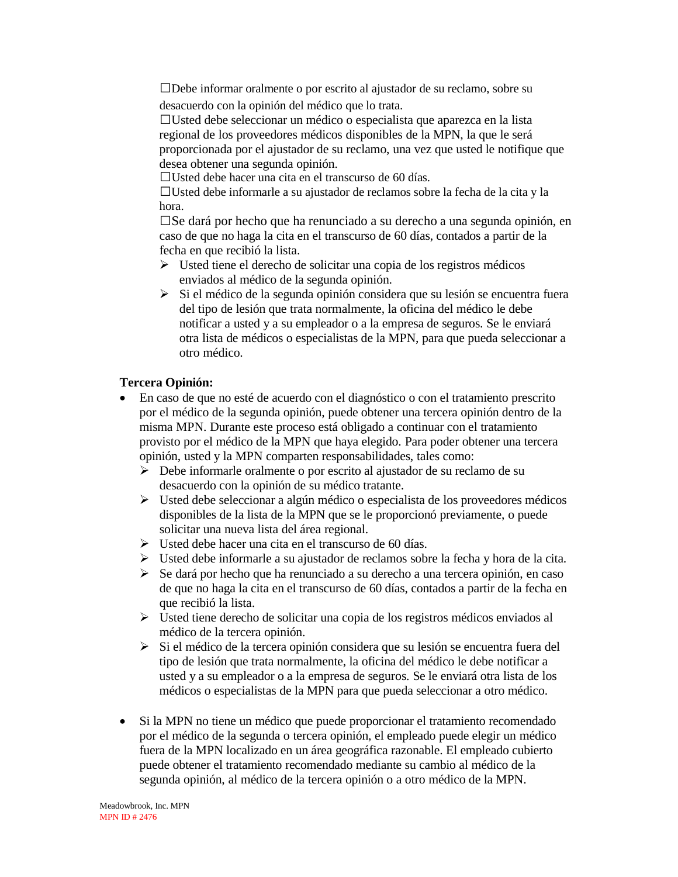Debe informar oralmente o por escrito al ajustador de su reclamo, sobre su desacuerdo con la opinión del médico que lo trata.

Usted debe seleccionar un médico o especialista que aparezca en la lista regional de los proveedores médicos disponibles de la MPN, la que le será proporcionada por el ajustador de su reclamo, una vez que usted le notifique que desea obtener una segunda opinión.

Usted debe hacer una cita en el transcurso de 60 días.

Usted debe informarle a su ajustador de reclamos sobre la fecha de la cita y la hora.

 $\square$ Se dará por hecho que ha renunciado a su derecho a una segunda opinión, en caso de que no haga la cita en el transcurso de 60 días, contados a partir de la fecha en que recibió la lista.

- $\triangleright$  Usted tiene el derecho de solicitar una copia de los registros médicos enviados al médico de la segunda opinión.
- Si el médico de la segunda opinión considera que su lesión se encuentra fuera del tipo de lesión que trata normalmente, la oficina del médico le debe notificar a usted y a su empleador o a la empresa de seguros. Se le enviará otra lista de médicos o especialistas de la MPN, para que pueda seleccionar a otro médico.

#### **Tercera Opinión:**

- En caso de que no esté de acuerdo con el diagnóstico o con el tratamiento prescrito por el médico de la segunda opinión, puede obtener una tercera opinión dentro de la misma MPN. Durante este proceso está obligado a continuar con el tratamiento provisto por el médico de la MPN que haya elegido. Para poder obtener una tercera opinión, usted y la MPN comparten responsabilidades, tales como:
	- Debe informarle oralmente o por escrito al ajustador de su reclamo de su desacuerdo con la opinión de su médico tratante.
	- Usted debe seleccionar a algún médico o especialista de los proveedores médicos disponibles de la lista de la MPN que se le proporcionó previamente, o puede solicitar una nueva lista del área regional.
	- $\triangleright$  Usted debe hacer una cita en el transcurso de 60 días.
	- $\triangleright$  Usted debe informarle a su ajustador de reclamos sobre la fecha y hora de la cita.
	- $\triangleright$  Se dará por hecho que ha renunciado a su derecho a una tercera opinión, en caso de que no haga la cita en el transcurso de 60 días, contados a partir de la fecha en que recibió la lista.
	- Usted tiene derecho de solicitar una copia de los registros médicos enviados al médico de la tercera opinión.
	- $\triangleright$  Si el médico de la tercera opinión considera que su lesión se encuentra fuera del tipo de lesión que trata normalmente, la oficina del médico le debe notificar a usted y a su empleador o a la empresa de seguros. Se le enviará otra lista de los médicos o especialistas de la MPN para que pueda seleccionar a otro médico.
- Si la MPN no tiene un médico que puede proporcionar el tratamiento recomendado por el médico de la segunda o tercera opinión, el empleado puede elegir un médico fuera de la MPN localizado en un área geográfica razonable. El empleado cubierto puede obtener el tratamiento recomendado mediante su cambio al médico de la segunda opinión, al médico de la tercera opinión o a otro médico de la MPN.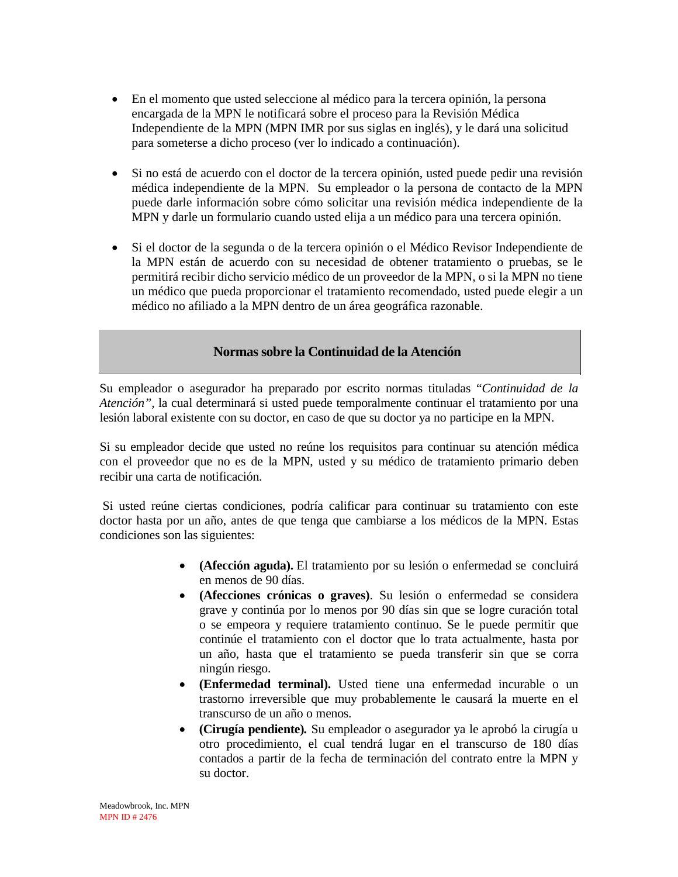- En el momento que usted seleccione al médico para la tercera opinión, la persona encargada de la MPN le notificará sobre el proceso para la Revisión Médica Independiente de la MPN (MPN IMR por sus siglas en inglés), y le dará una solicitud para someterse a dicho proceso (ver lo indicado a continuación).
- Si no está de acuerdo con el doctor de la tercera opinión, usted puede pedir una revisión médica independiente de la MPN.Su empleador o la persona de contacto de la MPN puede darle información sobre cómo solicitar una revisión médica independiente de la MPN y darle un formulario cuando usted elija a un médico para una tercera opinión.
- Si el doctor de la segunda o de la tercera opinión o el Médico Revisor Independiente de la MPN están de acuerdo con su necesidad de obtener tratamiento o pruebas, se le permitirá recibir dicho servicio médico de un proveedor de la MPN, o si la MPN no tiene un médico que pueda proporcionar el tratamiento recomendado, usted puede elegir a un médico no afiliado a la MPN dentro de un área geográfica razonable.

#### **Normas sobre la Continuidad de la Atención**

Su empleador o asegurador ha preparado por escrito normas tituladas "*Continuidad de la Atención",* la cual determinará si usted puede temporalmente continuar el tratamiento por una lesión laboral existente con su doctor, en caso de que su doctor ya no participe en la MPN.

Si su empleador decide que usted no reúne los requisitos para continuar su atención médica con el proveedor que no es de la MPN, usted y su médico de tratamiento primario deben recibir una carta de notificación.

Si usted reúne ciertas condiciones, podría calificar para continuar su tratamiento con este doctor hasta por un año, antes de que tenga que cambiarse a los médicos de la MPN. Estas condiciones son las siguientes:

- **(Afección aguda).** El tratamiento por su lesión o enfermedad se concluirá en menos de 90 días.
- **(Afecciones crónicas o graves)**. Su lesión o enfermedad se considera grave y continúa por lo menos por 90 días sin que se logre curación total o se empeora y requiere tratamiento continuo. Se le puede permitir que continúe el tratamiento con el doctor que lo trata actualmente, hasta por un año, hasta que el tratamiento se pueda transferir sin que se corra ningún riesgo.
- **(Enfermedad terminal).** Usted tiene una enfermedad incurable o un trastorno irreversible que muy probablemente le causará la muerte en el transcurso de un año o menos.
- **(Cirugía pendiente)***.* Su empleador o asegurador ya le aprobó la cirugía u otro procedimiento, el cual tendrá lugar en el transcurso de 180 días contados a partir de la fecha de terminación del contrato entre la MPN y su doctor.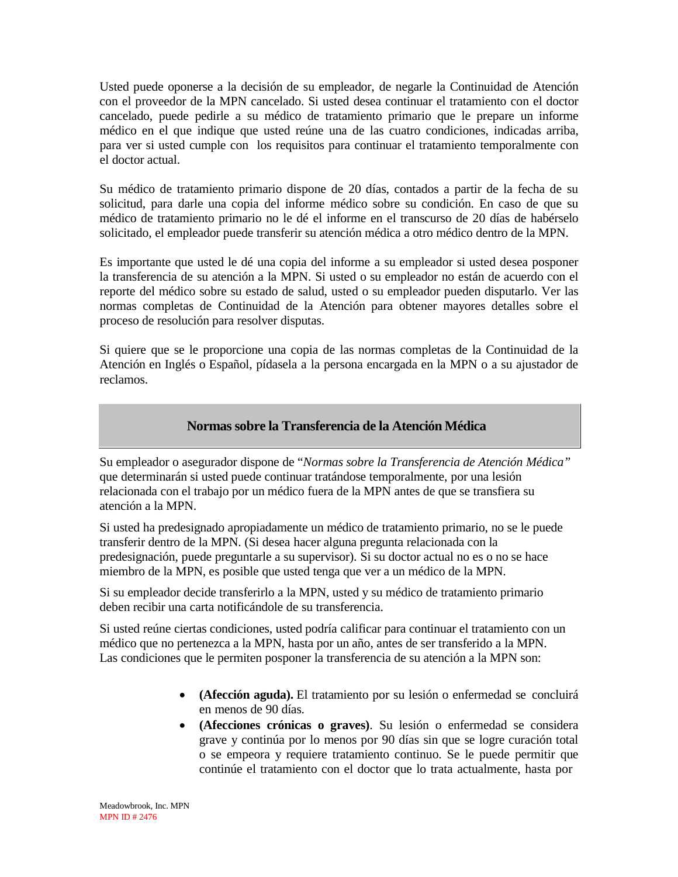Usted puede oponerse a la decisión de su empleador, de negarle la Continuidad de Atención con el proveedor de la MPN cancelado. Si usted desea continuar el tratamiento con el doctor cancelado, puede pedirle a su médico de tratamiento primario que le prepare un informe médico en el que indique que usted reúne una de las cuatro condiciones, indicadas arriba, para ver si usted cumple con los requisitos para continuar el tratamiento temporalmente con el doctor actual.

Su médico de tratamiento primario dispone de 20 días, contados a partir de la fecha de su solicitud, para darle una copia del informe médico sobre su condición. En caso de que su médico de tratamiento primario no le dé el informe en el transcurso de 20 días de habérselo solicitado, el empleador puede transferir su atención médica a otro médico dentro de la MPN.

Es importante que usted le dé una copia del informe a su empleador si usted desea posponer la transferencia de su atención a la MPN. Si usted o su empleador no están de acuerdo con el reporte del médico sobre su estado de salud, usted o su empleador pueden disputarlo. Ver las normas completas de Continuidad de la Atención para obtener mayores detalles sobre el proceso de resolución para resolver disputas.

Si quiere que se le proporcione una copia de las normas completas de la Continuidad de la Atención en Inglés o Español, pídasela a la persona encargada en la MPN o a su ajustador de reclamos.

# **Normas sobre la Transferencia de la Atención Médica**

Su empleador o asegurador dispone de "*Normas sobre la Transferencia de Atención Médica"* que determinarán si usted puede continuar tratándose temporalmente, por una lesión relacionada con el trabajo por un médico fuera de la MPN antes de que se transfiera su atención a la MPN.

Si usted ha predesignado apropiadamente un médico de tratamiento primario, no se le puede transferir dentro de la MPN. (Si desea hacer alguna pregunta relacionada con la predesignación, puede preguntarle a su supervisor). Si su doctor actual no es o no se hace miembro de la MPN, es posible que usted tenga que ver a un médico de la MPN.

Si su empleador decide transferirlo a la MPN, usted y su médico de tratamiento primario deben recibir una carta notificándole de su transferencia.

Si usted reúne ciertas condiciones, usted podría calificar para continuar el tratamiento con un médico que no pertenezca a la MPN, hasta por un año, antes de ser transferido a la MPN. Las condiciones que le permiten posponer la transferencia de su atención a la MPN son:

- **(Afección aguda).** El tratamiento por su lesión o enfermedad se concluirá en menos de 90 días.
- **(Afecciones crónicas o graves)**. Su lesión o enfermedad se considera grave y continúa por lo menos por 90 días sin que se logre curación total o se empeora y requiere tratamiento continuo. Se le puede permitir que continúe el tratamiento con el doctor que lo trata actualmente, hasta por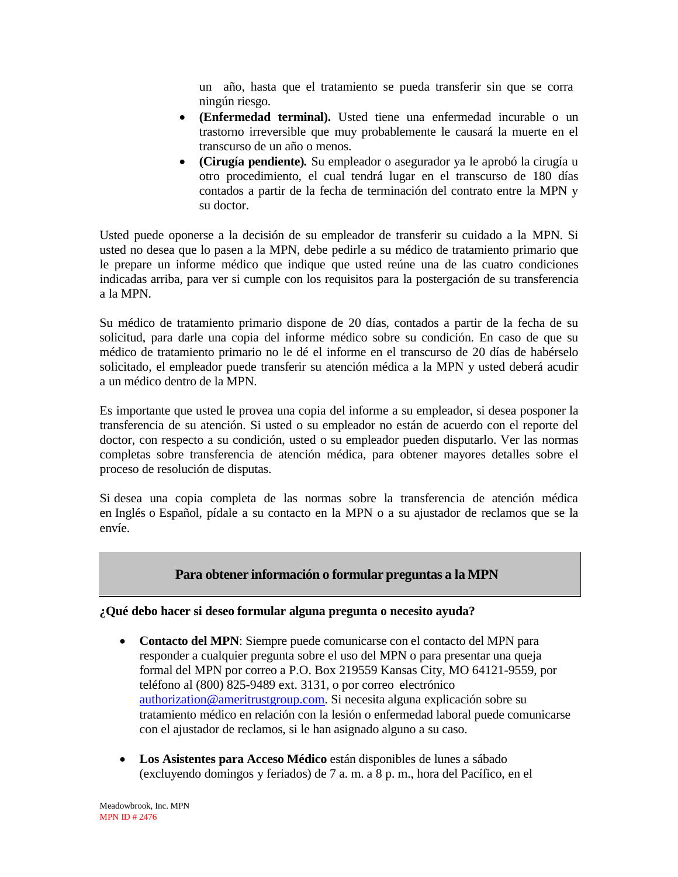un año, hasta que el tratamiento se pueda transferir sin que se corra ningún riesgo.

- **(Enfermedad terminal).** Usted tiene una enfermedad incurable o un trastorno irreversible que muy probablemente le causará la muerte en el transcurso de un año o menos.
- **(Cirugía pendiente)***.* Su empleador o asegurador ya le aprobó la cirugía u otro procedimiento, el cual tendrá lugar en el transcurso de 180 días contados a partir de la fecha de terminación del contrato entre la MPN y su doctor.

Usted puede oponerse a la decisión de su empleador de transferir su cuidado a la MPN. Si usted no desea que lo pasen a la MPN, debe pedirle a su médico de tratamiento primario que le prepare un informe médico que indique que usted reúne una de las cuatro condiciones indicadas arriba, para ver si cumple con los requisitos para la postergación de su transferencia a la MPN.

Su médico de tratamiento primario dispone de 20 días, contados a partir de la fecha de su solicitud, para darle una copia del informe médico sobre su condición. En caso de que su médico de tratamiento primario no le dé el informe en el transcurso de 20 días de habérselo solicitado, el empleador puede transferir su atención médica a la MPN y usted deberá acudir a un médico dentro de la MPN.

Es importante que usted le provea una copia del informe a su empleador, si desea posponer la transferencia de su atención. Si usted o su empleador no están de acuerdo con el reporte del doctor, con respecto a su condición, usted o su empleador pueden disputarlo. Ver las normas completas sobre transferencia de atención médica, para obtener mayores detalles sobre el proceso de resolución de disputas.

Si desea una copia completa de las normas sobre la transferencia de atención médica en Inglés o Español, pídale a su contacto en la MPN o a su ajustador de reclamos que se la envíe.

# **Para obtener información o formular preguntas a la MPN**

#### **¿Qué debo hacer si deseo formular alguna pregunta o necesito ayuda?**

- **Contacto del MPN**: Siempre puede comunicarse con el contacto del MPN para responder a cualquier pregunta sobre el uso del MPN o para presentar una queja formal del MPN por correo a P.O. Box 219559 Kansas City, MO 64121-9559, por teléfono al (800) 825-9489 ext. 3131, o por correo electrónico [authorization@ameritrustgroup.com.](mailto:authorization@ameritrustgroup.com) Si necesita alguna explicación sobre su tratamiento médico en relación con la lesión o enfermedad laboral puede comunicarse con el ajustador de reclamos, si le han asignado alguno a su caso.
- **Los Asistentes para Acceso Médico** están disponibles de lunes a sábado (excluyendo domingos y feriados) de 7 a. m. a 8 p. m., hora del Pacífico, en el